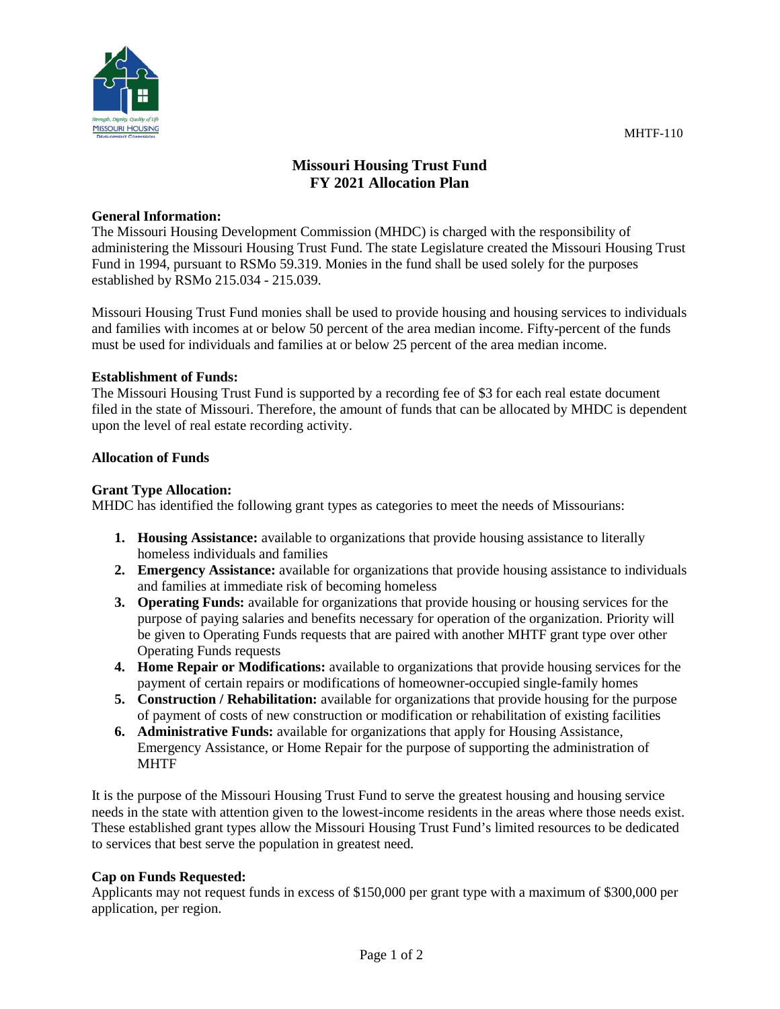

# **Missouri Housing Trust Fund FY 2021 Allocation Plan**

#### **General Information:**

The Missouri Housing Development Commission (MHDC) is charged with the responsibility of administering the Missouri Housing Trust Fund. The state Legislature created the Missouri Housing Trust Fund in 1994, pursuant to RSMo 59.319. Monies in the fund shall be used solely for the purposes established by RSMo 215.034 - 215.039.

Missouri Housing Trust Fund monies shall be used to provide housing and housing services to individuals and families with incomes at or below 50 percent of the area median income. Fifty-percent of the funds must be used for individuals and families at or below 25 percent of the area median income.

#### **Establishment of Funds:**

The Missouri Housing Trust Fund is supported by a recording fee of \$3 for each real estate document filed in the state of Missouri. Therefore, the amount of funds that can be allocated by MHDC is dependent upon the level of real estate recording activity.

#### **Allocation of Funds**

#### **Grant Type Allocation:**

MHDC has identified the following grant types as categories to meet the needs of Missourians:

- **1. Housing Assistance:** available to organizations that provide housing assistance to literally homeless individuals and families
- **2. Emergency Assistance:** available for organizations that provide housing assistance to individuals and families at immediate risk of becoming homeless
- **3. Operating Funds:** available for organizations that provide housing or housing services for the purpose of paying salaries and benefits necessary for operation of the organization. Priority will be given to Operating Funds requests that are paired with another MHTF grant type over other Operating Funds requests
- **4. Home Repair or Modifications:** available to organizations that provide housing services for the payment of certain repairs or modifications of homeowner-occupied single-family homes
- **5. Construction / Rehabilitation:** available for organizations that provide housing for the purpose of payment of costs of new construction or modification or rehabilitation of existing facilities
- **6. Administrative Funds:** available for organizations that apply for Housing Assistance, Emergency Assistance, or Home Repair for the purpose of supporting the administration of MHTF

It is the purpose of the Missouri Housing Trust Fund to serve the greatest housing and housing service needs in the state with attention given to the lowest-income residents in the areas where those needs exist. These established grant types allow the Missouri Housing Trust Fund's limited resources to be dedicated to services that best serve the population in greatest need.

## **Cap on Funds Requested:**

Applicants may not request funds in excess of \$150,000 per grant type with a maximum of \$300,000 per application, per region.